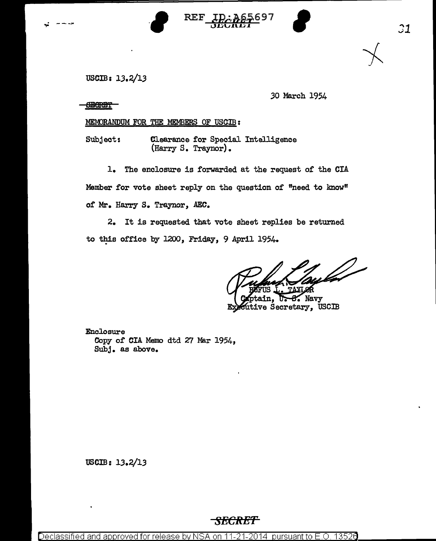



 $USCIB: 13.2/13$ 

.30 March 1954

**CECRET** 

## MEMORANDUM FOR THE MEMBERS OF USCIB:

Subject: Clearance for Special. Intelligence (Harry S. Traynor) •

1. The enclosure is forwarded at the request of the CIA Member for vote sheet reply on the question of "need to know" of Mr. Harry S. Traynor, AEC.

2. It is requested that vote sheet replies be returned to this office by 1200, Friday, 9 April 1954.

8. Navy in. utive Secretary, USCIB

Enclosure Copy of CIA Memo dtd 27 Mar 1954, Subj. as above.

USCIB: 13.2/13